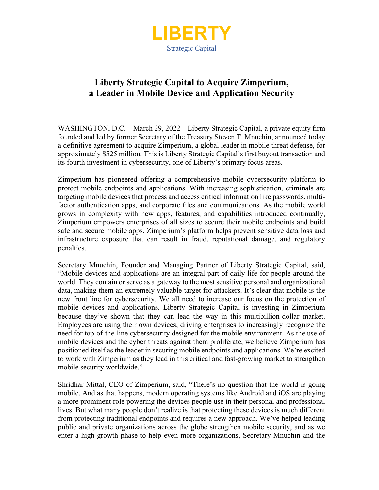

# **Liberty Strategic Capital to Acquire Zimperium, a Leader in Mobile Device and Application Security**

WASHINGTON, D.C. – March 29, 2022 – Liberty Strategic Capital, a private equity firm founded and led by former Secretary of the Treasury Steven T. Mnuchin, announced today a definitive agreement to acquire Zimperium, a global leader in mobile threat defense, for approximately \$525 million. This is Liberty Strategic Capital's first buyout transaction and its fourth investment in cybersecurity, one of Liberty's primary focus areas.

Zimperium has pioneered offering a comprehensive mobile cybersecurity platform to protect mobile endpoints and applications. With increasing sophistication, criminals are targeting mobile devices that process and access critical information like passwords, multifactor authentication apps, and corporate files and communications. As the mobile world grows in complexity with new apps, features, and capabilities introduced continually, Zimperium empowers enterprises of all sizes to secure their mobile endpoints and build safe and secure mobile apps. Zimperium's platform helps prevent sensitive data loss and infrastructure exposure that can result in fraud, reputational damage, and regulatory penalties.

Secretary Mnuchin, Founder and Managing Partner of Liberty Strategic Capital, said, "Mobile devices and applications are an integral part of daily life for people around the world. They contain or serve as a gateway to the most sensitive personal and organizational data, making them an extremely valuable target for attackers. It's clear that mobile is the new front line for cybersecurity. We all need to increase our focus on the protection of mobile devices and applications. Liberty Strategic Capital is investing in Zimperium because they've shown that they can lead the way in this multibillion-dollar market. Employees are using their own devices, driving enterprises to increasingly recognize the need for top-of-the-line cybersecurity designed for the mobile environment. As the use of mobile devices and the cyber threats against them proliferate, we believe Zimperium has positioned itself as the leader in securing mobile endpoints and applications. We're excited to work with Zimperium as they lead in this critical and fast-growing market to strengthen mobile security worldwide."

Shridhar Mittal, CEO of Zimperium, said, "There's no question that the world is going mobile. And as that happens, modern operating systems like Android and iOS are playing a more prominent role powering the devices people use in their personal and professional lives. But what many people don't realize is that protecting these devices is much different from protecting traditional endpoints and requires a new approach. We've helped leading public and private organizations across the globe strengthen mobile security, and as we enter a high growth phase to help even more organizations, Secretary Mnuchin and the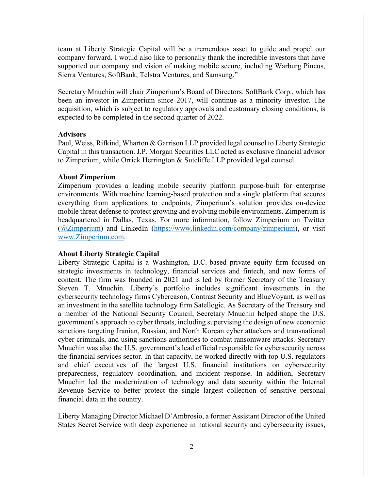team at Liberty Strategic Capital will be a tremendous asset to guide and propel our company forward. I would also like to personally thank the incredible investors that have supported our company and vision of making mobile secure, including Warburg Pincus, Sierra Ventures, SoftBank, Telstra Ventures, and Samsung."

Secretary Mnuchin will chair Zimperium's Board of Directors. SoftBank Corp., which has been an investor in Zimperium since 2017, will continue as a minority investor. The acquisition, which is subject to regulatory approvals and customary closing conditions, is expected to be completed in the second quarter of 2022.

## **Advisors**

Paul, Weiss, Rifkind, Wharton & Garrison LLP provided legal counsel to Liberty Strategic Capital in this transaction. J.P. Morgan Securities LLC acted as exclusive financial advisor to Zimperium, while Orrick Herrington & Sutcliffe LLP provided legal counsel.

#### **About Zimperium**

Zimperium provides a leading mobile security platform purpose-built for enterprise environments. With machine learning-based protection and a single platform that secures everything from applications to endpoints, Zimperium's solution provides on-device mobile threat defense to protect growing and evolving mobile environments. Zimperium is headquartered in Dallas, Texas. For more information, follow Zimperium on Twitter (@Zimperium) and LinkedIn (https://www.linkedin.com/company/zimperium), or visit www.Zimperium.com.

### **About Liberty Strategic Capital**

Liberty Strategic Capital is a Washington, D.C.-based private equity firm focused on strategic investments in technology, financial services and fintech, and new forms of content. The firm was founded in 2021 and is led by former Secretary of the Treasury Steven T. Mnuchin. Liberty's portfolio includes significant investments in the cybersecurity technology firms Cybereason, Contrast Security and BlueVoyant, as well as an investment in the satellite technology firm Satellogic. As Secretary of the Treasury and a member of the National Security Council, Secretary Mnuchin helped shape the U.S. government's approach to cyber threats, including supervising the design of new economic sanctions targeting Iranian, Russian, and North Korean cyber attackers and transnational cyber criminals, and using sanctions authorities to combat ransomware attacks. Secretary Mnuchin was also the U.S. government's lead official responsible for cybersecurity across the financial services sector. In that capacity, he worked directly with top U.S. regulators and chief executives of the largest U.S. financial institutions on cybersecurity preparedness, regulatory coordination, and incident response. In addition, Secretary Mnuchin led the modernization of technology and data security within the Internal Revenue Service to better protect the single largest collection of sensitive personal financial data in the country.

Liberty Managing Director Michael D'Ambrosio, a former Assistant Director of the United States Secret Service with deep experience in national security and cybersecurity issues,